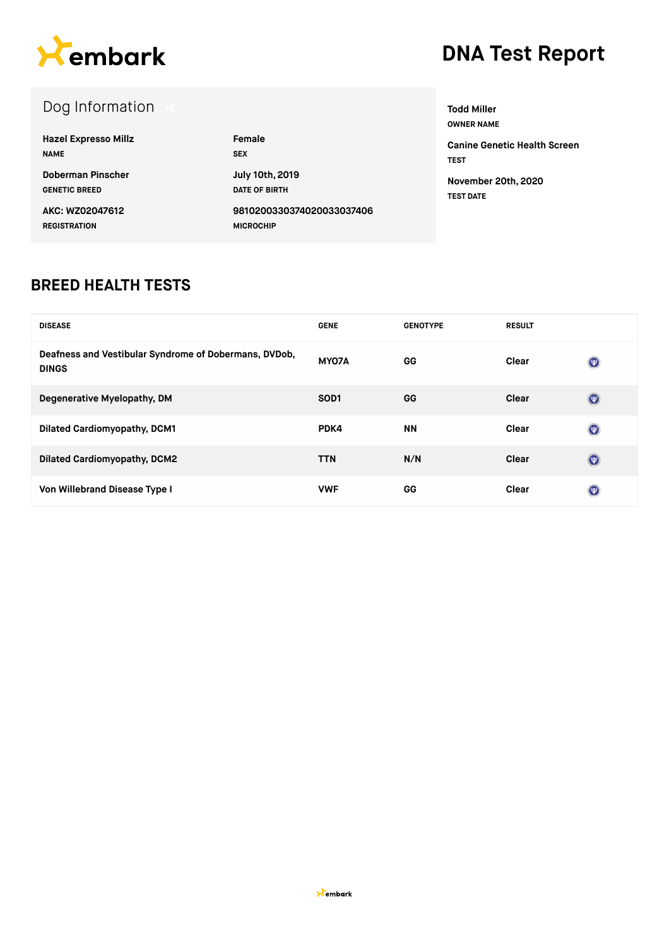

#### Dog Information **Hazel Expresso Millz NAME Female SEX Doberman Pinscher GENETIC BREED July 10th, 2019 DATE OF BIRTH AKC: WZ02047612 REGISTRATION 9810200330374020033037406 MICROCHIP Todd Miller OWNER NAME TEST TEST DATE**

**Canine Genetic Health Screen November 20th, 2020**

#### **BREED HEALTH TESTS**

| <b>DISEASE</b>                                                        | <b>GENE</b>      | <b>GENOTYPE</b> | <b>RESULT</b> |                |
|-----------------------------------------------------------------------|------------------|-----------------|---------------|----------------|
| Deafness and Vestibular Syndrome of Dobermans, DVDob,<br><b>DINGS</b> | MY07A            | GG              | Clear         | $(\nabla)$     |
| Degenerative Myelopathy, DM                                           | SOD <sub>1</sub> | GG              | Clear         | $\circledcirc$ |
| <b>Dilated Cardiomyopathy, DCM1</b>                                   | PDK4             | <b>NN</b>       | Clear         | $\circledcirc$ |
| <b>Dilated Cardiomyopathy, DCM2</b>                                   | <b>TTN</b>       | N/N             | Clear         | $(\mathbf{w})$ |
| Von Willebrand Disease Type I                                         | <b>VWF</b>       | GG              | Clear         | $(\Psi)$       |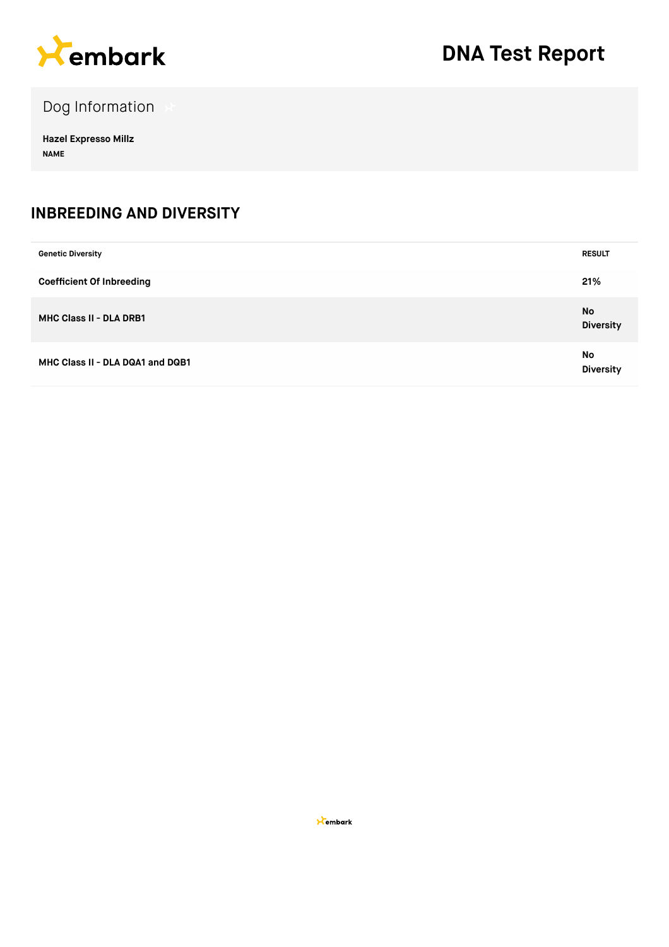

Dog Information

**Hazel Expresso Millz NAME**

#### **INBREEDING AND DIVERSITY**

| <b>Genetic Diversity</b>         | <b>RESULT</b>          |
|----------------------------------|------------------------|
| <b>Coefficient Of Inbreeding</b> | 21%                    |
| MHC Class II - DLA DRB1          | No<br><b>Diversity</b> |
| MHC Class II - DLA DQA1 and DQB1 | No<br><b>Diversity</b> |

**X**embark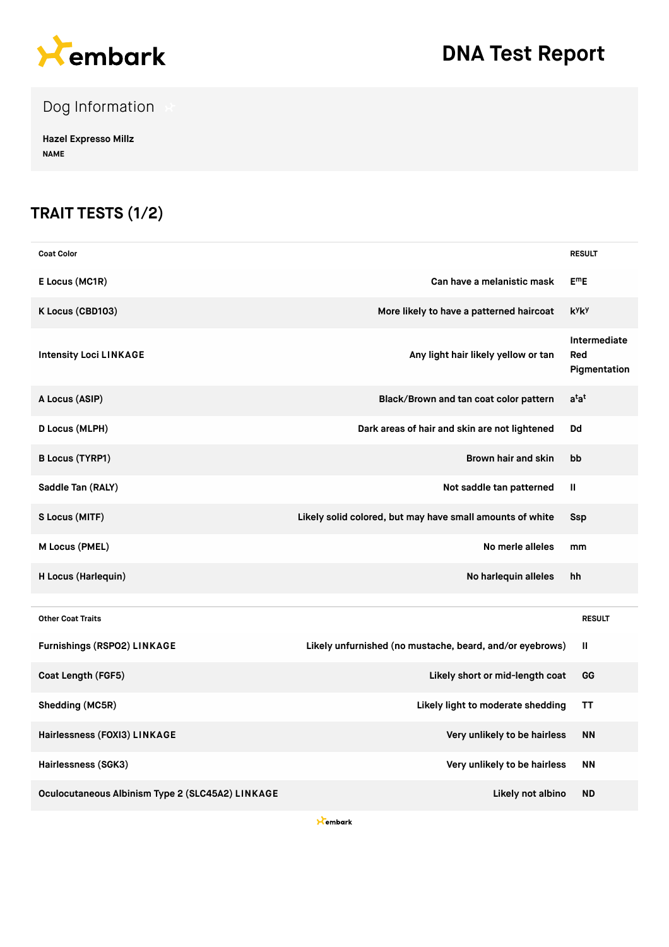

Dog Information

**Hazel Expresso Millz NAME**

### **TRAIT TESTS (1/2)**

| <b>Coat Color</b>                                |                                                           | <b>RESULT</b>                       |
|--------------------------------------------------|-----------------------------------------------------------|-------------------------------------|
| E Locus (MC1R)                                   | Can have a melanistic mask                                | $E^mE$                              |
| K Locus (CBD103)                                 | More likely to have a patterned haircoat                  | kyky                                |
| <b>Intensity Loci LINKAGE</b>                    | Any light hair likely yellow or tan                       | Intermediate<br>Red<br>Pigmentation |
| A Locus (ASIP)                                   | Black/Brown and tan coat color pattern                    | $a^{\dagger}a^{\dagger}$            |
| D Locus (MLPH)                                   | Dark areas of hair and skin are not lightened             | Dd                                  |
| <b>B Locus (TYRP1)</b>                           | Brown hair and skin                                       | bb                                  |
| Saddle Tan (RALY)                                | Not saddle tan patterned                                  | Ш                                   |
| S Locus (MITF)                                   | Likely solid colored, but may have small amounts of white | Ssp                                 |
| M Locus (PMEL)                                   | No merle alleles                                          | mm                                  |
| H Locus (Harlequin)                              | No harlequin alleles                                      | hh                                  |
| <b>Other Coat Traits</b>                         |                                                           | <b>RESULT</b>                       |
| <b>Furnishings (RSPO2) LINKAGE</b>               | Likely unfurnished (no mustache, beard, and/or eyebrows)  | Ш                                   |
| Coat Length (FGF5)                               | Likely short or mid-length coat                           | GG                                  |
| Shedding (MC5R)                                  | Likely light to moderate shedding                         | ΤT                                  |
| Hairlessness (FOXI3) LINKAGE                     | Very unlikely to be hairless                              | <b>NN</b>                           |
| Hairlessness (SGK3)                              | Very unlikely to be hairless                              | ΝN                                  |
| Oculocutaneous Albinism Type 2 (SLC45A2) LINKAGE | Likely not albino                                         | <b>ND</b>                           |

**X**embark